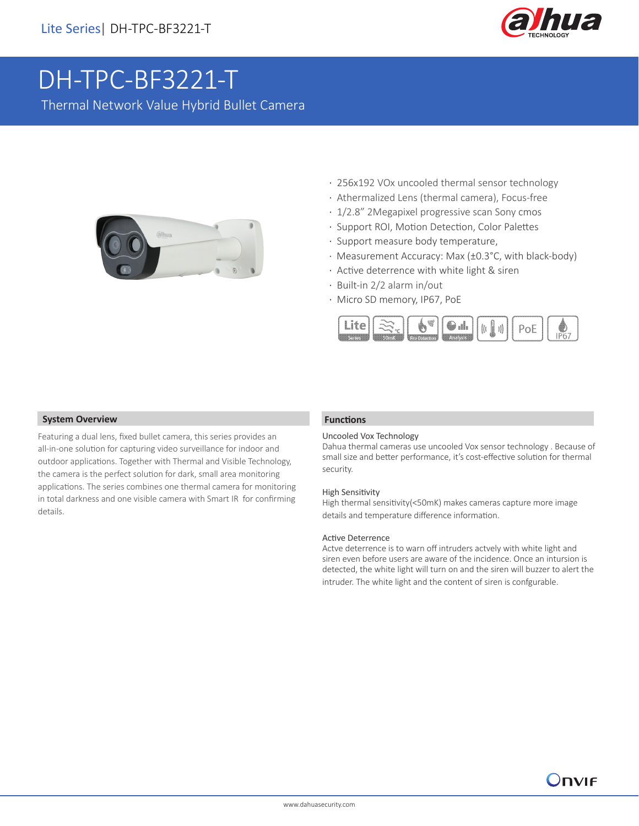

# [DH-TPC-BF3221-T](https://www.ultramaster.ro/supraveghere-video.html)

Thermal Network Value Hybrid Bullet Camera



- · 256x192 VOx uncooled thermal sensor technology
- · Athermalized Lens (thermal camera), Focus-free
- · 1/2.8" 2Megapixel progressive scan Sony cmos
- · Support ROI, Motion Detection, Color Palettes
- · Support measure body temperature,
- · Measurement Accuracy: Max (±0.3°C, with black-body)
- · Active deterrence with white light & siren
- · Built-in 2/2 alarm in/out
- · Micro SD memory, IP67, PoE



#### **System Overview**

Featuring a dual lens, fixed bullet camera, this series provides an all-in-one solution for capturing video surveillance for indoor and outdoor applications. Together with Thermal and Visible Technology, the camera is the perfect solution for dark, small area monitoring applications. The series combines one thermal camera for monitoring in total darkness and one visible camera with Smart IR for confirming details.

#### **Functions**

#### Uncooled Vox Technology

Dahua thermal cameras use uncooled Vox sensor technology . Because of small size and better performance, it's cost-effective solution for thermal security.

#### High Sensitivity

High thermal sensitivity(<50mK) makes cameras capture more image details and temperature difference information.

#### Active Deterrence

Actve deterrence is to warn off intruders actvely with white light and siren even before users are aware of the incidence. Once an intursion is detected, the white light will turn on and the siren will buzzer to alert the intruder. The white light and the content of siren is confgurable.

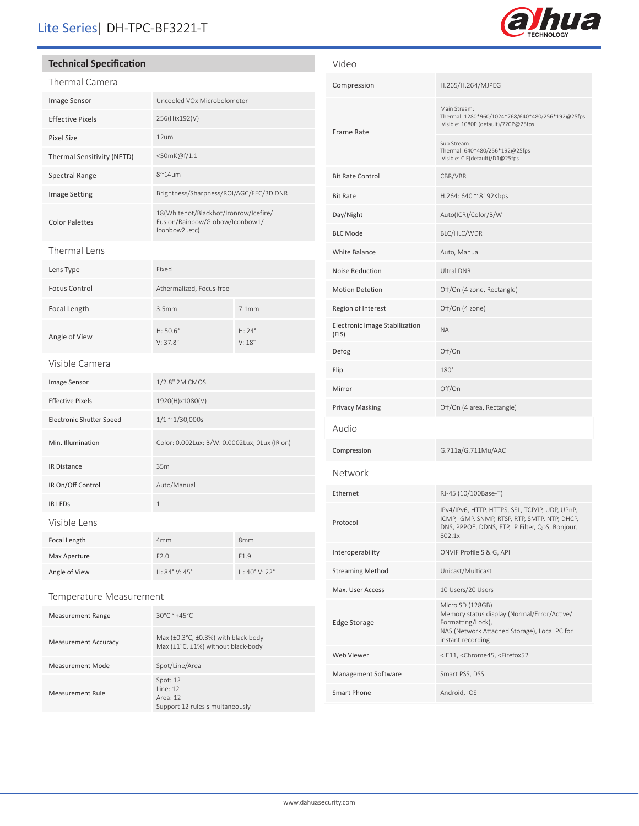# Lite Series| DH-TPC-BF3221-T

#### **Technical Specification**

| Thermal Camera                  |                                                                                           |                  |
|---------------------------------|-------------------------------------------------------------------------------------------|------------------|
| Image Sensor                    | Uncooled VOx Microbolometer                                                               |                  |
| <b>Effective Pixels</b>         | 256(H)x192(V)                                                                             |                  |
| <b>Pixel Size</b>               | 12um                                                                                      |                  |
| Thermal Sensitivity (NETD)      | <50mK@f/1.1                                                                               |                  |
| <b>Spectral Range</b>           | $8^{\sim}$ 14um                                                                           |                  |
| <b>Image Setting</b>            | Brightness/Sharpness/ROI/AGC/FFC/3D DNR                                                   |                  |
| <b>Color Palettes</b>           | 18(Whitehot/Blackhot/Ironrow/Icefire/<br>Fusion/Rainbow/Globow/Iconbow1/<br>lconbow2.etc) |                  |
| Thermal Lens                    |                                                                                           |                  |
| Lens Type                       | Fixed                                                                                     |                  |
| <b>Focus Control</b>            | Athermalized, Focus-free                                                                  |                  |
| Focal Length                    | 3.5mm                                                                                     | 7.1mm            |
| Angle of View                   | $H: 50.6^{\circ}$<br>$V: 37.8^{\circ}$                                                    | H: 24°<br>V: 18° |
| Visible Camera                  |                                                                                           |                  |
| Image Sensor                    | 1/2.8" 2M CMOS                                                                            |                  |
| <b>Effective Pixels</b>         | 1920(H)x1080(V)                                                                           |                  |
| <b>Electronic Shutter Speed</b> | $1/1 \sim 1/30,000s$                                                                      |                  |
| Min. Illumination               | Color: 0.002Lux; B/W: 0.0002Lux; 0Lux (IR on)                                             |                  |
| <b>IR Distance</b>              | 35m                                                                                       |                  |
| IR On/Off Control               | Auto/Manual                                                                               |                  |
| <b>IR LEDS</b>                  | $\mathbf{1}$                                                                              |                  |
| Visible Lens                    |                                                                                           |                  |
| Focal Length                    | 4mm                                                                                       | 8mm              |
| Max Aperture                    | F2.0                                                                                      | F <sub>1.9</sub> |
| Angle of View                   | H: 84° V: 45°                                                                             | H: 40° V: 22°    |
|                                 |                                                                                           |                  |

#### Temperature Measurement

| <b>Measurement Range</b>    | $30^{\circ}$ C ~+45 $^{\circ}$ C                                                                         |
|-----------------------------|----------------------------------------------------------------------------------------------------------|
| <b>Measurement Accuracy</b> | Max $(\pm 0.3^{\circ}C, \pm 0.3%)$ with black-body<br>Max $(\pm 1^{\circ}C, \pm 1\%)$ without black-body |
| <b>Measurement Mode</b>     | Spot/Line/Area                                                                                           |
| Measurement Rule            | Spot: $12$<br>line 12<br>Area: 12<br>Support 12 rules simultaneously                                     |

| Video                                          |                                                                                                                                                               |
|------------------------------------------------|---------------------------------------------------------------------------------------------------------------------------------------------------------------|
| Compression                                    | H.265/H.264/MJPEG                                                                                                                                             |
| <b>Frame Rate</b>                              | Main Stream:<br>Thermal: 1280*960/1024*768/640*480/256*192@25fps<br>Visible: 1080P (default)/720P@25fps                                                       |
|                                                | Sub Stream:<br>Thermal: 640*480/256*192@25fps<br>Visible: CIF(default)/D1@25fps                                                                               |
| <b>Bit Rate Control</b>                        | CBR/VBR                                                                                                                                                       |
| <b>Bit Rate</b>                                | H.264: 640 $\approx$ 8192Kbps                                                                                                                                 |
| Day/Night                                      | Auto(ICR)/Color/B/W                                                                                                                                           |
| <b>BLC Mode</b>                                | BLC/HLC/WDR                                                                                                                                                   |
| White Balance                                  | Auto, Manual                                                                                                                                                  |
| Noise Reduction                                | <b>Ultral DNR</b>                                                                                                                                             |
| <b>Motion Detetion</b>                         | Off/On (4 zone, Rectangle)                                                                                                                                    |
| Region of Interest                             | Off/On (4 zone)                                                                                                                                               |
| <b>Electronic Image Stabilization</b><br>(EIS) | <b>ΝΑ</b>                                                                                                                                                     |
| Defog                                          | Off/On                                                                                                                                                        |
| Flip                                           | 180°                                                                                                                                                          |
| Mirror                                         | Off/On                                                                                                                                                        |
| <b>Privacy Masking</b>                         | Off/On (4 area, Rectangle)                                                                                                                                    |
| Audio                                          |                                                                                                                                                               |
| Compression                                    | G.711a/G.711Mu/AAC                                                                                                                                            |
| Network                                        |                                                                                                                                                               |
| Ethernet                                       | RJ-45 (10/100Base-T)                                                                                                                                          |
| Protocol                                       | IPv4/IPv6, HTTP, HTTPS, SSL, TCP/IP, UDP, UPnP,<br>ICMP, IGMP, SNMP, RTSP, RTP, SMTP, NTP, DHCP,<br>DNS, PPPOE, DDNS, FTP, IP Filter, QoS, Bonjour,<br>802.1x |
| Interoperability                               | ONVIF Profile S & G, API                                                                                                                                      |
| <b>Streaming Method</b>                        | Unicast/Multicast                                                                                                                                             |
| Max. User Access                               | 10 Users/20 Users                                                                                                                                             |
| Edge Storage                                   | Micro SD (128GB)<br>Memory status display (Normal/Error/Active/<br>Formatting/Lock),<br>NAS (Network Attached Storage), Local PC for<br>instant recording     |
| Web Viewer                                     | <ie11, <chrome45,="" <firefox52<="" td=""></ie11,>                                                                                                            |
| Management Software                            | Smart PSS, DSS                                                                                                                                                |
| Smart Phone                                    | Android, IOS                                                                                                                                                  |